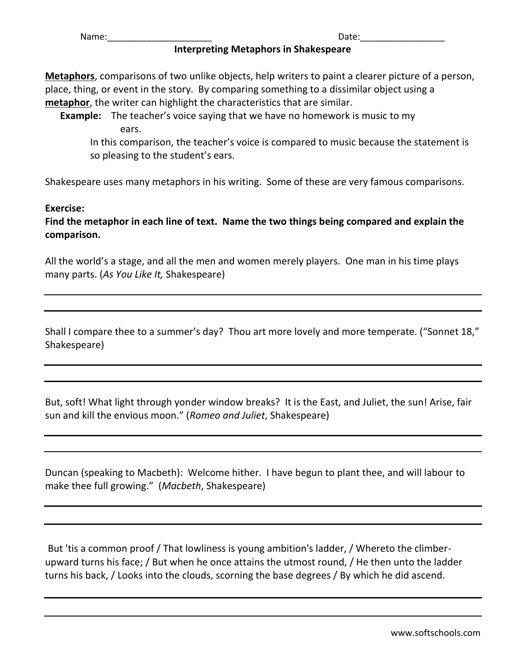## **Interpreting Metaphors in Shakespeare**

**Metaphors**, comparisons of two unlike objects, help writers to paint a clearer picture of a person, place, thing, or event in the story. By comparing something to a dissimilar object using a **metaphor**, the writer can highlight the characteristics that are similar.

**Example:** The teacher's voice saying that we have no homework is music to my ears.

In this comparison, the teacher's voice is compared to music because the statement is so pleasing to the student's ears.

Shakespeare uses many metaphors in his writing. Some of these are very famous comparisons.

## **Exercise:**

**Find the metaphor in each line of text. Name the two things being compared and explain the comparison.**

All the world's a stage, and all the men and women merely players. One man in his time plays many parts. (*As You Like It,* Shakespeare)

Shall I compare thee to a summer's day? Thou art more lovely and more temperate. ("Sonnet 18," Shakespeare)

But, soft! What light through yonder window breaks? It is the East, and Juliet, the sun! Arise, fair sun and kill the envious moon." (*Romeo and Juliet*, Shakespeare)

Duncan (speaking to Macbeth): Welcome hither. I have begun to plant thee, and will labour to make thee full growing." (*Macbeth*, Shakespeare)

But 'tis a common proof / That lowliness is young ambition's ladder, / Whereto the climberupward turns his face; / But when he once attains the utmost round, / He then unto the ladder turns his back, / Looks into the clouds, scorning the base degrees / By which he did ascend.